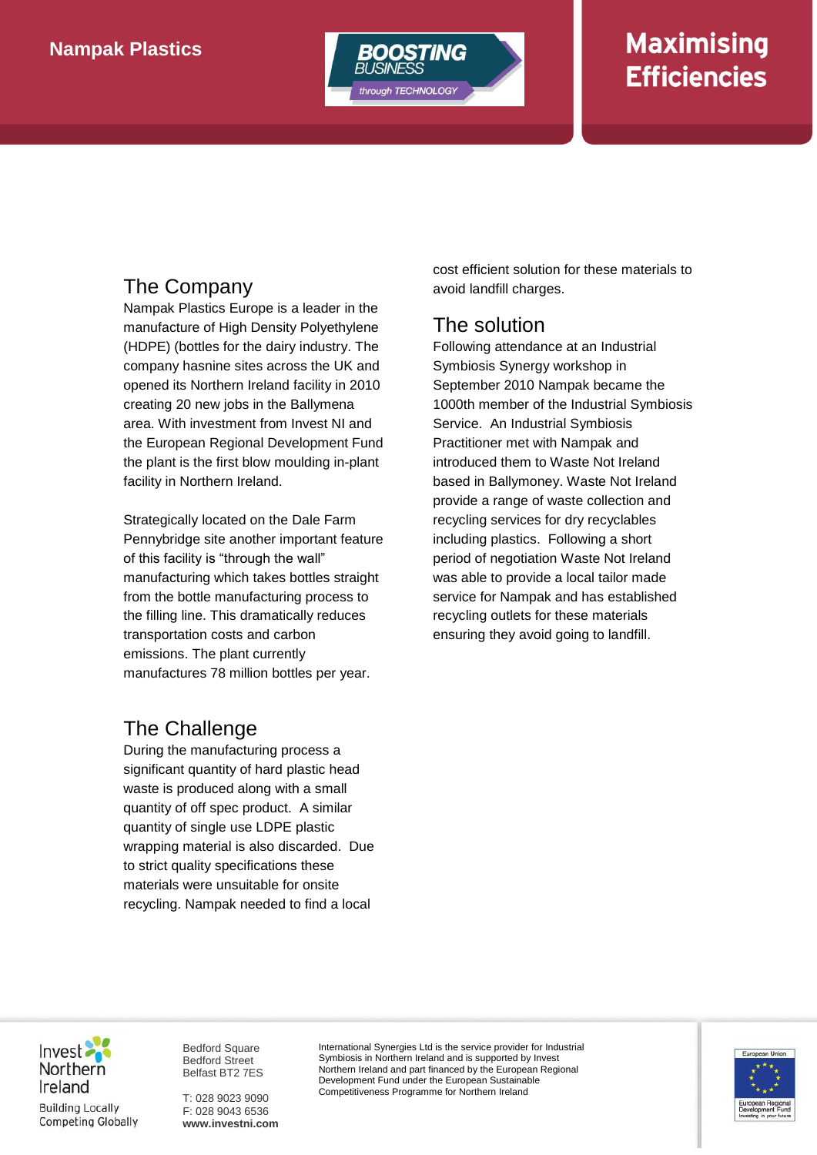

# **Maximising Efficiencies**

### The Company

Nampak Plastics Europe is a leader in the manufacture of High Density Polyethylene (HDPE) (bottles for the dairy industry. The company hasnine sites across the UK and opened its Northern Ireland facility in 2010 creating 20 new jobs in the Ballymena area. With investment from Invest NI and the European Regional Development Fund the plant is the first blow moulding in-plant facility in Northern Ireland.

Strategically located on the Dale Farm Pennybridge site another important feature of this facility is "through the wall" manufacturing which takes bottles straight from the bottle manufacturing process to the filling line. This dramatically reduces transportation costs and carbon emissions. The plant currently manufactures 78 million bottles per year.

## The Challenge

During the manufacturing process a significant quantity of hard plastic head waste is produced along with a small quantity of off spec product. A similar quantity of single use LDPE plastic wrapping material is also discarded. Due to strict quality specifications these materials were unsuitable for onsite recycling. Nampak needed to find a local

cost efficient solution for these materials to avoid landfill charges.

#### The solution

Following attendance at an Industrial Symbiosis Synergy workshop in September 2010 Nampak became the 1000th member of the Industrial Symbiosis Service. An Industrial Symbiosis Practitioner met with Nampak and introduced them to Waste Not Ireland based in Ballymoney. Waste Not Ireland provide a range of waste collection and recycling services for dry recyclables including plastics. Following a short period of negotiation Waste Not Ireland was able to provide a local tailor made service for Nampak and has established recycling outlets for these materials ensuring they avoid going to landfill.

Invest Northern Ireland **Building Locally Competing Globally** 

Bedford Square Bedford Street Belfast BT2 7ES

T: 028 9023 9090 F: 028 9043 6536 **www.investni.com** International Synergies Ltd is the service provider for Industrial Symbiosis in Northern Ireland and is supported by Invest Northern Ireland and part financed by the European Regional Development Fund under the European Sustainable Competitiveness Programme for Northern Ireland